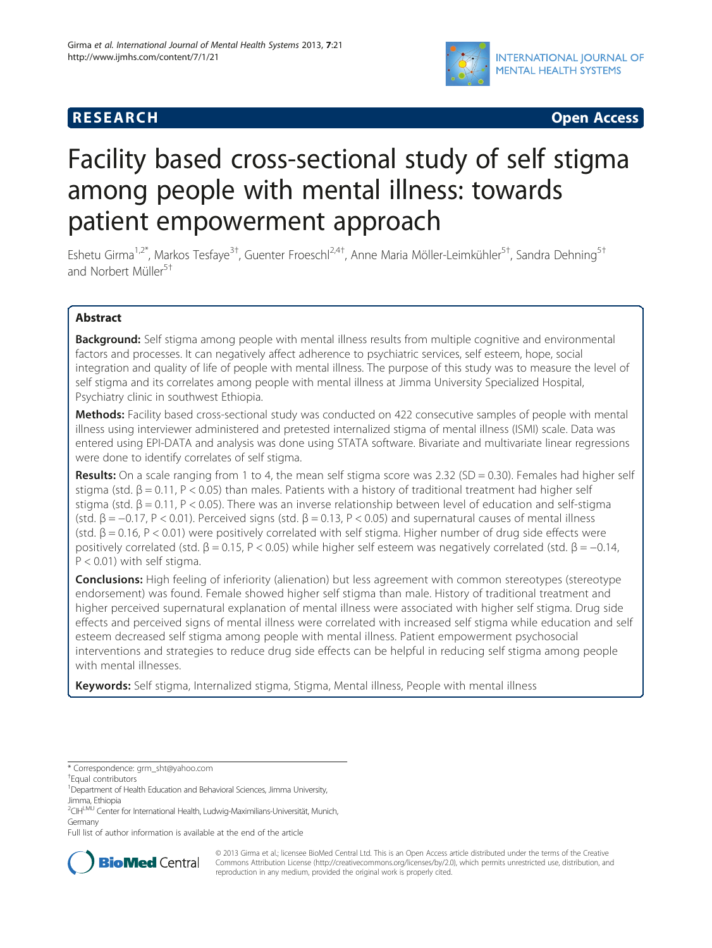

**RESEARCH RESEARCH** *CHECK CHECK CHECK CHECK CHECK CHECK CHECK CHECK CHECK CHECK CHECK CHECK CHECK CHECK CHECK CHECK CHECK CHECK CHECK CHECK CHECK CHECK CHECK CHECK CHECK CHECK CHECK CHECK CHECK CHECK CHECK CHECK CHECK* 

# Facility based cross-sectional study of self stigma among people with mental illness: towards patient empowerment approach

Eshetu Girma<sup>1,2\*</sup>, Markos Tesfaye<sup>3†</sup>, Guenter Froeschl<sup>2,4†</sup>, Anne Maria Möller-Leimkühler<sup>5†</sup>, Sandra Dehning<sup>5†</sup> and Norbert Müller<sup>5†</sup>

# Abstract

**Background:** Self stigma among people with mental illness results from multiple cognitive and environmental factors and processes. It can negatively affect adherence to psychiatric services, self esteem, hope, social integration and quality of life of people with mental illness. The purpose of this study was to measure the level of self stigma and its correlates among people with mental illness at Jimma University Specialized Hospital, Psychiatry clinic in southwest Ethiopia.

Methods: Facility based cross-sectional study was conducted on 422 consecutive samples of people with mental illness using interviewer administered and pretested internalized stigma of mental illness (ISMI) scale. Data was entered using EPI-DATA and analysis was done using STATA software. Bivariate and multivariate linear regressions were done to identify correlates of self stigma.

Results: On a scale ranging from 1 to 4, the mean self stigma score was 2.32 (SD = 0.30). Females had higher self stigma (std.  $\beta$  = 0.11, P < 0.05) than males. Patients with a history of traditional treatment had higher self stigma (std.  $β = 0.11$ ,  $P < 0.05$ ). There was an inverse relationship between level of education and self-stigma (std.  $\beta = -0.17$ , P < 0.01). Perceived signs (std.  $\beta = 0.13$ , P < 0.05) and supernatural causes of mental illness (std.  $\beta$  = 0.16, P < 0.01) were positively correlated with self stigma. Higher number of drug side effects were positively correlated (std. β = 0.15, P < 0.05) while higher self esteem was negatively correlated (std. β = -0.14,  $P < 0.01$ ) with self stigma.

**Conclusions:** High feeling of inferiority (alienation) but less agreement with common stereotypes (stereotype endorsement) was found. Female showed higher self stigma than male. History of traditional treatment and higher perceived supernatural explanation of mental illness were associated with higher self stigma. Drug side effects and perceived signs of mental illness were correlated with increased self stigma while education and self esteem decreased self stigma among people with mental illness. Patient empowerment psychosocial interventions and strategies to reduce drug side effects can be helpful in reducing self stigma among people with mental illnesses.

Keywords: Self stigma, Internalized stigma, Stigma, Mental illness, People with mental illness

Full list of author information is available at the end of the article



© 2013 Girma et al.; licensee BioMed Central Ltd. This is an Open Access article distributed under the terms of the Creative Commons Attribution License [\(http://creativecommons.org/licenses/by/2.0\)](http://creativecommons.org/licenses/by/2.0), which permits unrestricted use, distribution, and reproduction in any medium, provided the original work is properly cited.

<sup>\*</sup> Correspondence: [grm\\_sht@yahoo.com](mailto:grm_sht@yahoo.com) †

Equal contributors

<sup>&</sup>lt;sup>1</sup> Department of Health Education and Behavioral Sciences, Jimma University, Jimma, Ethiopia

<sup>&</sup>lt;sup>2</sup>CIH<sup>LMU</sup> Center for International Health, Ludwig-Maximilians-Universität, Munich, Germany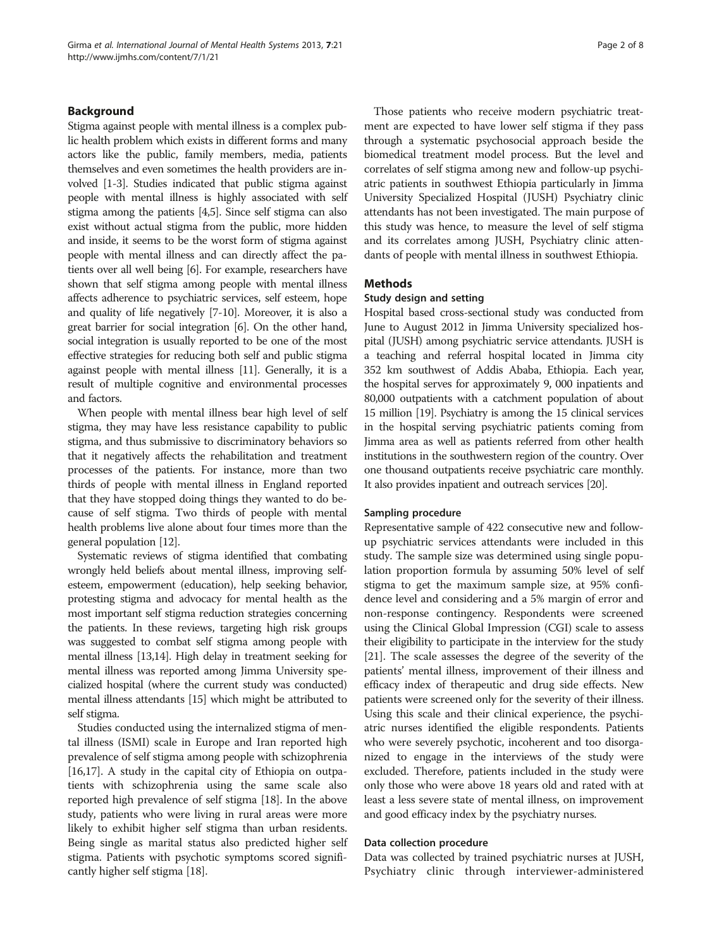### Background

Stigma against people with mental illness is a complex public health problem which exists in different forms and many actors like the public, family members, media, patients themselves and even sometimes the health providers are involved [\[1](#page-7-0)-[3](#page-7-0)]. Studies indicated that public stigma against people with mental illness is highly associated with self stigma among the patients [\[4,5](#page-7-0)]. Since self stigma can also exist without actual stigma from the public, more hidden and inside, it seems to be the worst form of stigma against people with mental illness and can directly affect the patients over all well being [\[6\]](#page-7-0). For example, researchers have shown that self stigma among people with mental illness affects adherence to psychiatric services, self esteem, hope and quality of life negatively [\[7-10](#page-7-0)]. Moreover, it is also a great barrier for social integration [[6](#page-7-0)]. On the other hand, social integration is usually reported to be one of the most effective strategies for reducing both self and public stigma against people with mental illness [\[11](#page-7-0)]. Generally, it is a result of multiple cognitive and environmental processes and factors.

When people with mental illness bear high level of self stigma, they may have less resistance capability to public stigma, and thus submissive to discriminatory behaviors so that it negatively affects the rehabilitation and treatment processes of the patients. For instance, more than two thirds of people with mental illness in England reported that they have stopped doing things they wanted to do because of self stigma. Two thirds of people with mental health problems live alone about four times more than the general population [\[12\]](#page-7-0).

Systematic reviews of stigma identified that combating wrongly held beliefs about mental illness, improving selfesteem, empowerment (education), help seeking behavior, protesting stigma and advocacy for mental health as the most important self stigma reduction strategies concerning the patients. In these reviews, targeting high risk groups was suggested to combat self stigma among people with mental illness [[13,14](#page-7-0)]. High delay in treatment seeking for mental illness was reported among Jimma University specialized hospital (where the current study was conducted) mental illness attendants [[15\]](#page-7-0) which might be attributed to self stigma.

Studies conducted using the internalized stigma of mental illness (ISMI) scale in Europe and Iran reported high prevalence of self stigma among people with schizophrenia [[16,17](#page-7-0)]. A study in the capital city of Ethiopia on outpatients with schizophrenia using the same scale also reported high prevalence of self stigma [\[18](#page-7-0)]. In the above study, patients who were living in rural areas were more likely to exhibit higher self stigma than urban residents. Being single as marital status also predicted higher self stigma. Patients with psychotic symptoms scored significantly higher self stigma [[18](#page-7-0)].

Those patients who receive modern psychiatric treatment are expected to have lower self stigma if they pass through a systematic psychosocial approach beside the biomedical treatment model process. But the level and correlates of self stigma among new and follow-up psychiatric patients in southwest Ethiopia particularly in Jimma University Specialized Hospital (JUSH) Psychiatry clinic attendants has not been investigated. The main purpose of this study was hence, to measure the level of self stigma and its correlates among JUSH, Psychiatry clinic attendants of people with mental illness in southwest Ethiopia.

#### Methods

#### Study design and setting

Hospital based cross-sectional study was conducted from June to August 2012 in Jimma University specialized hospital (JUSH) among psychiatric service attendants. JUSH is a teaching and referral hospital located in Jimma city 352 km southwest of Addis Ababa, Ethiopia. Each year, the hospital serves for approximately 9, 000 inpatients and 80,000 outpatients with a catchment population of about 15 million [\[19](#page-7-0)]. Psychiatry is among the 15 clinical services in the hospital serving psychiatric patients coming from Jimma area as well as patients referred from other health institutions in the southwestern region of the country. Over one thousand outpatients receive psychiatric care monthly. It also provides inpatient and outreach services [\[20](#page-7-0)].

#### Sampling procedure

Representative sample of 422 consecutive new and followup psychiatric services attendants were included in this study. The sample size was determined using single population proportion formula by assuming 50% level of self stigma to get the maximum sample size, at 95% confidence level and considering and a 5% margin of error and non-response contingency. Respondents were screened using the Clinical Global Impression (CGI) scale to assess their eligibility to participate in the interview for the study [[21](#page-7-0)]. The scale assesses the degree of the severity of the patients' mental illness, improvement of their illness and efficacy index of therapeutic and drug side effects. New patients were screened only for the severity of their illness. Using this scale and their clinical experience, the psychiatric nurses identified the eligible respondents. Patients who were severely psychotic, incoherent and too disorganized to engage in the interviews of the study were excluded. Therefore, patients included in the study were only those who were above 18 years old and rated with at least a less severe state of mental illness, on improvement and good efficacy index by the psychiatry nurses.

#### Data collection procedure

Data was collected by trained psychiatric nurses at JUSH, Psychiatry clinic through interviewer-administered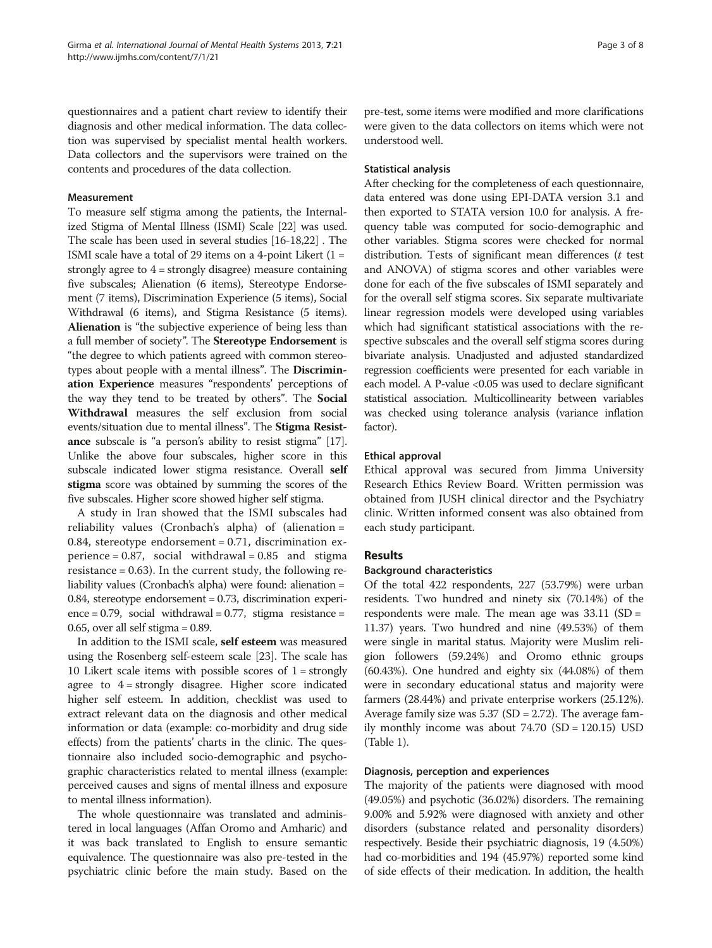questionnaires and a patient chart review to identify their diagnosis and other medical information. The data collection was supervised by specialist mental health workers. Data collectors and the supervisors were trained on the contents and procedures of the data collection.

### Measurement

To measure self stigma among the patients, the Internalized Stigma of Mental Illness (ISMI) Scale [[22](#page-7-0)] was used. The scale has been used in several studies [[16](#page-7-0)-[18,22\]](#page-7-0) . The ISMI scale have a total of 29 items on a 4-point Likert  $(1 =$ strongly agree to  $4 =$  strongly disagree) measure containing five subscales; Alienation (6 items), Stereotype Endorsement (7 items), Discrimination Experience (5 items), Social Withdrawal (6 items), and Stigma Resistance (5 items). Alienation is "the subjective experience of being less than a full member of society". The Stereotype Endorsement is "the degree to which patients agreed with common stereotypes about people with a mental illness". The Discrimination Experience measures "respondents' perceptions of the way they tend to be treated by others". The Social Withdrawal measures the self exclusion from social events/situation due to mental illness". The Stigma Resistance subscale is "a person's ability to resist stigma" [\[17](#page-7-0)]. Unlike the above four subscales, higher score in this subscale indicated lower stigma resistance. Overall self stigma score was obtained by summing the scores of the five subscales. Higher score showed higher self stigma.

A study in Iran showed that the ISMI subscales had reliability values (Cronbach's alpha) of (alienation = 0.84, stereotype endorsement =  $0.71$ , discrimination experience =  $0.87$ , social withdrawal =  $0.85$  and stigma resistance  $= 0.63$ ). In the current study, the following reliability values (Cronbach's alpha) were found: alienation = 0.84, stereotype endorsement = 0.73, discrimination experi- $\text{ence} = 0.79$ , social withdrawal = 0.77, stigma resistance = 0.65, over all self stigma  $= 0.89$ .

In addition to the ISMI scale, self esteem was measured using the Rosenberg self-esteem scale [[23](#page-7-0)]. The scale has 10 Likert scale items with possible scores of  $1 =$  strongly agree to 4 = strongly disagree. Higher score indicated higher self esteem. In addition, checklist was used to extract relevant data on the diagnosis and other medical information or data (example: co-morbidity and drug side effects) from the patients' charts in the clinic. The questionnaire also included socio-demographic and psychographic characteristics related to mental illness (example: perceived causes and signs of mental illness and exposure to mental illness information).

The whole questionnaire was translated and administered in local languages (Affan Oromo and Amharic) and it was back translated to English to ensure semantic equivalence. The questionnaire was also pre-tested in the psychiatric clinic before the main study. Based on the pre-test, some items were modified and more clarifications were given to the data collectors on items which were not understood well.

#### Statistical analysis

After checking for the completeness of each questionnaire, data entered was done using EPI-DATA version 3.1 and then exported to STATA version 10.0 for analysis. A frequency table was computed for socio-demographic and other variables. Stigma scores were checked for normal distribution. Tests of significant mean differences  $(t$  test and ANOVA) of stigma scores and other variables were done for each of the five subscales of ISMI separately and for the overall self stigma scores. Six separate multivariate linear regression models were developed using variables which had significant statistical associations with the respective subscales and the overall self stigma scores during bivariate analysis. Unadjusted and adjusted standardized regression coefficients were presented for each variable in each model. A P-value <0.05 was used to declare significant statistical association. Multicollinearity between variables was checked using tolerance analysis (variance inflation factor).

### Ethical approval

Ethical approval was secured from Jimma University Research Ethics Review Board. Written permission was obtained from JUSH clinical director and the Psychiatry clinic. Written informed consent was also obtained from each study participant.

# Results

# Background characteristics

Of the total 422 respondents, 227 (53.79%) were urban residents. Two hundred and ninety six (70.14%) of the respondents were male. The mean age was  $33.11$  (SD = 11.37) years. Two hundred and nine (49.53%) of them were single in marital status. Majority were Muslim religion followers (59.24%) and Oromo ethnic groups (60.43%). One hundred and eighty six (44.08%) of them were in secondary educational status and majority were farmers (28.44%) and private enterprise workers (25.12%). Average family size was 5.37 (SD = 2.72). The average family monthly income was about  $74.70$  (SD = 120.15) USD (Table [1](#page-3-0)).

# Diagnosis, perception and experiences

The majority of the patients were diagnosed with mood (49.05%) and psychotic (36.02%) disorders. The remaining 9.00% and 5.92% were diagnosed with anxiety and other disorders (substance related and personality disorders) respectively. Beside their psychiatric diagnosis, 19 (4.50%) had co-morbidities and 194 (45.97%) reported some kind of side effects of their medication. In addition, the health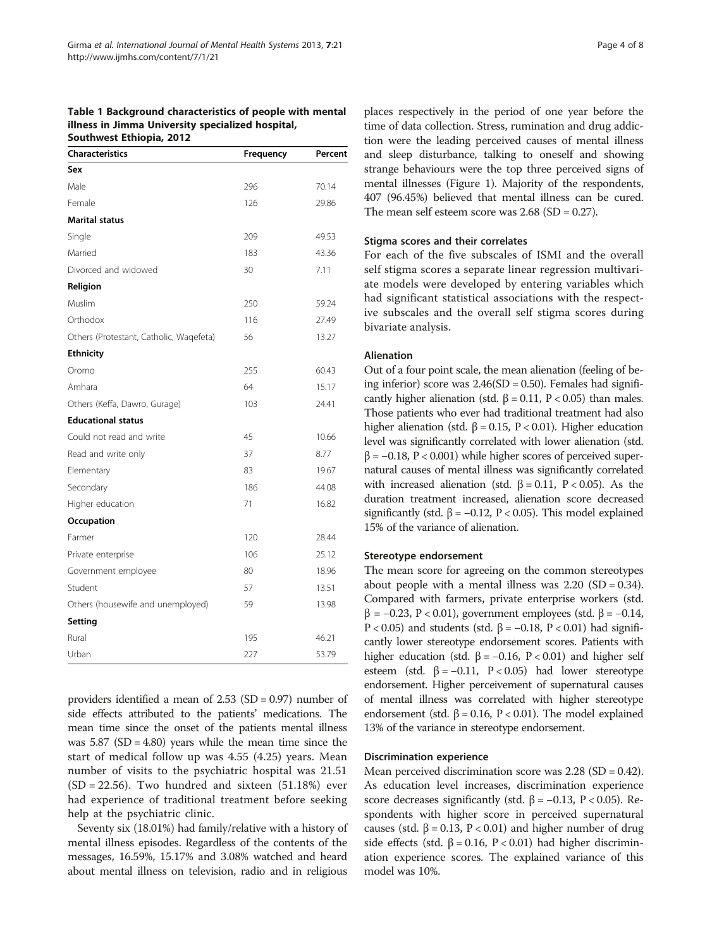<span id="page-3-0"></span>Table 1 Background characteristics of people with mental illness in Jimma University specialized hospital, Southwest Ethiopia, 2012

| <b>Characteristics</b>                  | Frequency | Percent |
|-----------------------------------------|-----------|---------|
| Sex                                     |           |         |
| Male                                    | 296       | 70.14   |
| Female                                  | 126       | 29.86   |
| <b>Marital status</b>                   |           |         |
| Single                                  | 209       | 49.53   |
| Married                                 | 183       | 43.36   |
| Divorced and widowed                    | 30        | 7.11    |
| Religion                                |           |         |
| Muslim                                  | 250       | 59.24   |
| Orthodox                                | 116       | 27.49   |
| Others (Protestant, Catholic, Waqefeta) | 56        | 13.27   |
| <b>Ethnicity</b>                        |           |         |
| Oromo                                   | 255       | 60.43   |
| Amhara                                  | 64        | 15.17   |
| Others (Keffa, Dawro, Gurage)           | 103       | 24.41   |
| <b>Educational status</b>               |           |         |
| Could not read and write                | 45        | 10.66   |
| Read and write only                     | 37        | 8.77    |
| Elementary                              | 83        | 19.67   |
| Secondary                               | 186       | 44.08   |
| Higher education                        | 71        | 16.82   |
| Occupation                              |           |         |
| Farmer                                  | 120       | 28.44   |
| Private enterprise                      | 106       | 25.12   |
| Government employee                     | 80        | 18.96   |
| Student                                 | 57        | 13.51   |
| Others (housewife and unemployed)       | 59        | 13.98   |
| Setting                                 |           |         |
| Rural                                   | 195       | 46.21   |
| Urban                                   | 227       | 53.79   |

providers identified a mean of 2.53 (SD = 0.97) number of side effects attributed to the patients' medications. The mean time since the onset of the patients mental illness was  $5.87$  (SD = 4.80) years while the mean time since the start of medical follow up was 4.55 (4.25) years. Mean number of visits to the psychiatric hospital was 21.51  $(SD = 22.56)$ . Two hundred and sixteen  $(51.18%)$  ever had experience of traditional treatment before seeking help at the psychiatric clinic.

Seventy six (18.01%) had family/relative with a history of mental illness episodes. Regardless of the contents of the messages, 16.59%, 15.17% and 3.08% watched and heard about mental illness on television, radio and in religious

places respectively in the period of one year before the time of data collection. Stress, rumination and drug addiction were the leading perceived causes of mental illness and sleep disturbance, talking to oneself and showing strange behaviours were the top three perceived signs of mental illnesses (Figure [1\)](#page-4-0). Majority of the respondents, 407 (96.45%) believed that mental illness can be cured. The mean self esteem score was  $2.68$  (SD = 0.27).

#### Stigma scores and their correlates

For each of the five subscales of ISMI and the overall self stigma scores a separate linear regression multivariate models were developed by entering variables which had significant statistical associations with the respective subscales and the overall self stigma scores during bivariate analysis.

#### Alienation

Out of a four point scale, the mean alienation (feeling of being inferior) score was  $2.46(SD = 0.50)$ . Females had significantly higher alienation (std. β = 0.11, P < 0.05) than males. Those patients who ever had traditional treatment had also higher alienation (std. β = 0.15, P < 0.01). Higher education level was significantly correlated with lower alienation (std.  $\beta$  = -0.18, P < 0.001) while higher scores of perceived supernatural causes of mental illness was significantly correlated with increased alienation (std. β = 0.11, P < 0.05). As the duration treatment increased, alienation score decreased significantly (std.  $\beta$  = -0.12, P < 0.05). This model explained 15% of the variance of alienation.

#### Stereotype endorsement

The mean score for agreeing on the common stereotypes about people with a mental illness was  $2.20$  (SD = 0.34). Compared with farmers, private enterprise workers (std. β = −0.23, P < 0.01), government employees (std. β = −0.14, P < 0.05) and students (std.  $\beta$  = -0.18, P < 0.01) had significantly lower stereotype endorsement scores. Patients with higher education (std. β = -0.16, P < 0.01) and higher self esteem (std. β = -0.11, P < 0.05) had lower stereotype endorsement. Higher perceivement of supernatural causes of mental illness was correlated with higher stereotype endorsement (std.  $\beta$  = 0.16, P < 0.01). The model explained 13% of the variance in stereotype endorsement.

#### Discrimination experience

Mean perceived discrimination score was 2.28 (SD = 0.42). As education level increases, discrimination experience score decreases significantly (std.  $\beta$  = −0.13, P < 0.05). Respondents with higher score in perceived supernatural causes (std. β = 0.13, P < 0.01) and higher number of drug side effects (std.  $\beta$  = 0.16, P < 0.01) had higher discrimination experience scores. The explained variance of this model was 10%.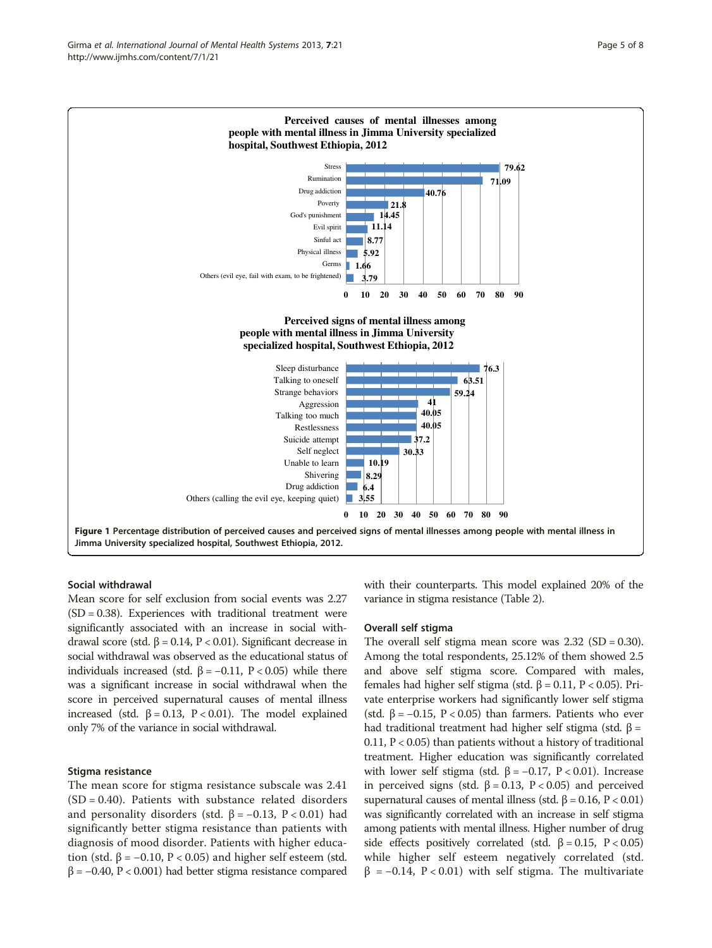<span id="page-4-0"></span>

#### Social withdrawal

Mean score for self exclusion from social events was 2.27  $(SD = 0.38)$ . Experiences with traditional treatment were significantly associated with an increase in social withdrawal score (std. β = 0.14, P < 0.01). Significant decrease in social withdrawal was observed as the educational status of individuals increased (std. β = −0.11, P < 0.05) while there was a significant increase in social withdrawal when the score in perceived supernatural causes of mental illness increased (std. β = 0.13, P < 0.01). The model explained only 7% of the variance in social withdrawal.

# Stigma resistance

The mean score for stigma resistance subscale was 2.41  $(SD = 0.40)$ . Patients with substance related disorders and personality disorders (std.  $β = -0.13$ ,  $P < 0.01$ ) had significantly better stigma resistance than patients with diagnosis of mood disorder. Patients with higher education (std. β =  $-0.10$ , P < 0.05) and higher self esteem (std. β = −0.40, P < 0.001) had better stigma resistance compared with their counterparts. This model explained 20% of the variance in stigma resistance (Table [2](#page-5-0)).

#### Overall self stigma

The overall self stigma mean score was  $2.32$  (SD = 0.30). Among the total respondents, 25.12% of them showed 2.5 and above self stigma score. Compared with males, females had higher self stigma (std. β = 0.11, P < 0.05). Private enterprise workers had significantly lower self stigma (std.  $\beta$  = -0.15, P < 0.05) than farmers. Patients who ever had traditional treatment had higher self stigma (std. β = 0.11,  $P < 0.05$ ) than patients without a history of traditional treatment. Higher education was significantly correlated with lower self stigma (std. β = -0.17, P < 0.01). Increase in perceived signs (std. β = 0.13, P < 0.05) and perceived supernatural causes of mental illness (std. β = 0.16, P < 0.01) was significantly correlated with an increase in self stigma among patients with mental illness. Higher number of drug side effects positively correlated (std.  $\beta = 0.15$ , P < 0.05) while higher self esteem negatively correlated (std.  $β = -0.14$ , P < 0.01) with self stigma. The multivariate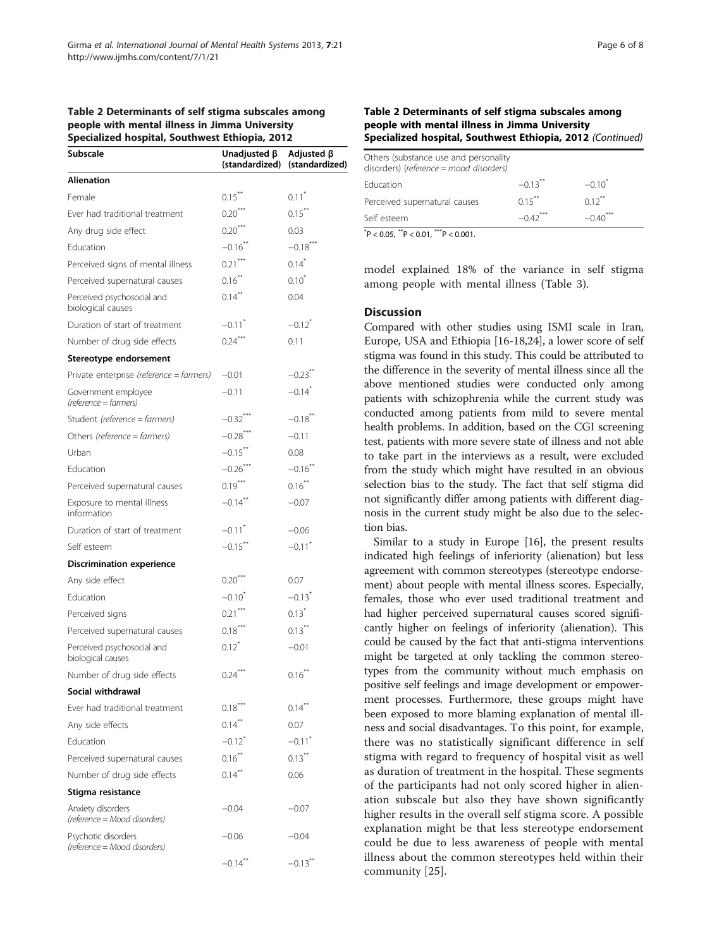#### <span id="page-5-0"></span>Table 2 Determinants of self stigma subscales among people with mental illness in Jimma University Specialized hospital, Southwest Ethiopia, 2012

| ייי יי                                              | $\cdots \cdots$        |                                                   |
|-----------------------------------------------------|------------------------|---------------------------------------------------|
| Subscale                                            | Unadjusted $\beta$     | Adjusted $\beta$<br>(standardized) (standardized) |
| <b>Alienation</b>                                   |                        |                                                   |
| Female                                              | $0.15***$              | $0.11$ <sup>*</sup>                               |
| Ever had traditional treatment                      | $0.20***$              | $0.15***$                                         |
| Any drug side effect                                | $0.20***$              | 0.03                                              |
| Education                                           | $-0.16$ <sup>**</sup>  | $-0.18***$                                        |
| Perceived signs of mental illness                   | $0.21***$              | $0.14$ <sup>*</sup>                               |
| Perceived supernatural causes                       | $0.16***$              | $0.10^{*}$                                        |
| Perceived psychosocial and<br>biological causes     | $0.14***$              | 0.04                                              |
| Duration of start of treatment                      | $-0.11$ <sup>*</sup>   | $-0.12$ <sup>*</sup>                              |
| Number of drug side effects                         | $0.24***$              | 0.11                                              |
| Stereotype endorsement                              |                        |                                                   |
| Private enterprise (reference = farmers)            | $-0.01$                | $-0.23$ **                                        |
| Government employee<br>(reference = farmers)        | $-0.11$                | $-0.14$ <sup>*</sup>                              |
| Student (reference = farmers)                       | $-0.32$ <sup>***</sup> | $-0.18$ **                                        |
| Others (reference = farmers)                        | $-0.28$ ***            | $-0.11$                                           |
| Urban                                               | $-0.15$ **             | 0.08                                              |
| Education                                           | $-0.26***$             | $-0.16$ **                                        |
| Perceived supernatural causes                       | $0.19***$              | $0.16***$                                         |
| Exposure to mental illness<br>information           | $-0.14$ **             | $-0.07$                                           |
| Duration of start of treatment                      | $-0.11$ <sup>*</sup>   | $-0.06$                                           |
| Self esteem                                         | $-0.15$ **             | $-0.11$ <sup>*</sup>                              |
| <b>Discrimination experience</b>                    |                        |                                                   |
| Any side effect                                     | $0.20***$              | 0.07                                              |
| Education                                           | $-0.10$ <sup>*</sup>   | $-0.13$ <sup>*</sup>                              |
| Perceived signs                                     | $0.21$ ***             | $0.13*$                                           |
| Perceived supernatural causes                       | $0.18***$              | $0.13***$                                         |
| Perceived psychosocial and<br>biological causes     | $0.12^{\degree}$       | $-0.01$                                           |
| Number of drug side effects                         | $0.24***$              | $0.16***$                                         |
| Social withdrawal                                   |                        |                                                   |
| Ever had traditional treatment                      | $0.18***$              | $0.14***$                                         |
| Any side effects                                    | $0.14***$              | 0.07                                              |
| Education                                           | $-0.12$ <sup>*</sup>   | $-0.11$ <sup>*</sup>                              |
| Perceived supernatural causes                       | $0.16***$              | $0.13***$                                         |
| Number of drug side effects                         | $0.14***$              | 0.06                                              |
| Stigma resistance                                   |                        |                                                   |
| Anxiety disorders<br>(reference = Mood disorders)   | $-0.04$                | $-0.07$                                           |
| Psychotic disorders<br>(reference = Mood disorders) | $-0.06$                | $-0.04$                                           |
|                                                     | $-0.14$ <sup>**</sup>  | $-0.13$ <sup>**</sup>                             |

## Table 2 Determinants of self stigma subscales among people with mental illness in Jimma University Specialized hospital, Southwest Ethiopia, 2012 (Continued)

| $*$                                                                              |                       |           |
|----------------------------------------------------------------------------------|-----------------------|-----------|
| Self esteem                                                                      | $-0.42$ <sup>*</sup>  | $-0.40$   |
| Perceived supernatural causes                                                    | $0.15***$             | $0.12***$ |
| Education                                                                        | $-0.13$ <sup>**</sup> | $-0.10^*$ |
| Others (substance use and personality<br>disorders) (reference = mood disorders) |                       |           |
|                                                                                  |                       |           |

 $*P < 0.05$ ,  $*P < 0.01$ ,  $*P < 0.001$ .

model explained 18% of the variance in self stigma among people with mental illness (Table [3](#page-6-0)).

#### **Discussion**

Compared with other studies using ISMI scale in Iran, Europe, USA and Ethiopia [\[16](#page-7-0)-[18,24\]](#page-7-0), a lower score of self stigma was found in this study. This could be attributed to the difference in the severity of mental illness since all the above mentioned studies were conducted only among patients with schizophrenia while the current study was conducted among patients from mild to severe mental health problems. In addition, based on the CGI screening test, patients with more severe state of illness and not able to take part in the interviews as a result, were excluded from the study which might have resulted in an obvious selection bias to the study. The fact that self stigma did not significantly differ among patients with different diagnosis in the current study might be also due to the selection bias.

Similar to a study in Europe [\[16\]](#page-7-0), the present results indicated high feelings of inferiority (alienation) but less agreement with common stereotypes (stereotype endorsement) about people with mental illness scores. Especially, females, those who ever used traditional treatment and had higher perceived supernatural causes scored significantly higher on feelings of inferiority (alienation). This could be caused by the fact that anti-stigma interventions might be targeted at only tackling the common stereotypes from the community without much emphasis on positive self feelings and image development or empowerment processes. Furthermore, these groups might have been exposed to more blaming explanation of mental illness and social disadvantages. To this point, for example, there was no statistically significant difference in self stigma with regard to frequency of hospital visit as well as duration of treatment in the hospital. These segments of the participants had not only scored higher in alienation subscale but also they have shown significantly higher results in the overall self stigma score. A possible explanation might be that less stereotype endorsement could be due to less awareness of people with mental illness about the common stereotypes held within their community [\[25](#page-7-0)].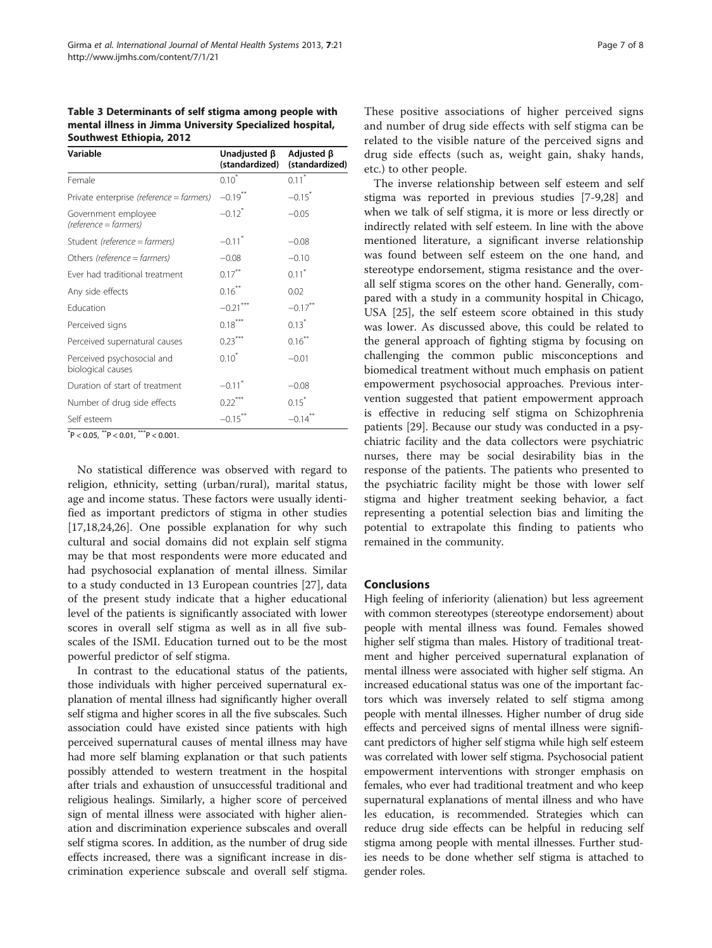<span id="page-6-0"></span>Table 3 Determinants of self stigma among people with mental illness in Jimma University Specialized hospital, Southwest Ethiopia, 2012

| Variable                                        | Unadjusted β<br>(standardized) | Adjusted $\beta$<br>(standardized) |
|-------------------------------------------------|--------------------------------|------------------------------------|
| Female                                          | $0.10^*$                       | $0.11*$                            |
| Private enterprise (reference = farmers)        | $-0.19$ **                     | $-0.15$ <sup>*</sup>               |
| Government employee<br>(reference = farmers)    | $-0.12$ <sup>*</sup>           | $-0.05$                            |
| Student (reference = farmers)                   | $-0.11$ <sup>*</sup>           | $-0.08$                            |
| Others (reference = farmers)                    | $-0.08$                        | $-0.10$                            |
| Ever had traditional treatment                  | $0.17***$                      | $0.11$ <sup>*</sup>                |
| Any side effects                                | $0.16***$                      | 0.02                               |
| Fducation                                       | $-0.21$                        | $-0.17$ **                         |
| Perceived signs                                 | $0.18***$                      | $0.13*$                            |
| Perceived supernatural causes                   | $0.23***$                      | $0.16***$                          |
| Perceived psychosocial and<br>biological causes | $0.10^*$                       | $-0.01$                            |
| Duration of start of treatment                  | $-0.11$ <sup>*</sup>           | $-0.08$                            |
| Number of drug side effects                     | $0.22***$                      | $0.15^*$                           |
| Self esteem                                     | $-0.15$ **                     | $-0.14$                            |

 $P < 0.05$ ,  $P < 0.01$ ,  $P^* > 0.001$ .

No statistical difference was observed with regard to religion, ethnicity, setting (urban/rural), marital status, age and income status. These factors were usually identified as important predictors of stigma in other studies [[17,18,24,26\]](#page-7-0). One possible explanation for why such cultural and social domains did not explain self stigma may be that most respondents were more educated and had psychosocial explanation of mental illness. Similar to a study conducted in 13 European countries [\[27](#page-7-0)], data of the present study indicate that a higher educational level of the patients is significantly associated with lower scores in overall self stigma as well as in all five subscales of the ISMI. Education turned out to be the most powerful predictor of self stigma.

In contrast to the educational status of the patients, those individuals with higher perceived supernatural explanation of mental illness had significantly higher overall self stigma and higher scores in all the five subscales. Such association could have existed since patients with high perceived supernatural causes of mental illness may have had more self blaming explanation or that such patients possibly attended to western treatment in the hospital after trials and exhaustion of unsuccessful traditional and religious healings. Similarly, a higher score of perceived sign of mental illness were associated with higher alienation and discrimination experience subscales and overall self stigma scores. In addition, as the number of drug side effects increased, there was a significant increase in discrimination experience subscale and overall self stigma.

These positive associations of higher perceived signs and number of drug side effects with self stigma can be related to the visible nature of the perceived signs and drug side effects (such as, weight gain, shaky hands, etc.) to other people.

The inverse relationship between self esteem and self stigma was reported in previous studies [\[7](#page-7-0)-[9,28\]](#page-7-0) and when we talk of self stigma, it is more or less directly or indirectly related with self esteem. In line with the above mentioned literature, a significant inverse relationship was found between self esteem on the one hand, and stereotype endorsement, stigma resistance and the overall self stigma scores on the other hand. Generally, compared with a study in a community hospital in Chicago, USA [\[25](#page-7-0)], the self esteem score obtained in this study was lower. As discussed above, this could be related to the general approach of fighting stigma by focusing on challenging the common public misconceptions and biomedical treatment without much emphasis on patient empowerment psychosocial approaches. Previous intervention suggested that patient empowerment approach is effective in reducing self stigma on Schizophrenia patients [\[29\]](#page-7-0). Because our study was conducted in a psychiatric facility and the data collectors were psychiatric nurses, there may be social desirability bias in the response of the patients. The patients who presented to the psychiatric facility might be those with lower self stigma and higher treatment seeking behavior, a fact representing a potential selection bias and limiting the potential to extrapolate this finding to patients who remained in the community.

#### **Conclusions**

High feeling of inferiority (alienation) but less agreement with common stereotypes (stereotype endorsement) about people with mental illness was found. Females showed higher self stigma than males. History of traditional treatment and higher perceived supernatural explanation of mental illness were associated with higher self stigma. An increased educational status was one of the important factors which was inversely related to self stigma among people with mental illnesses. Higher number of drug side effects and perceived signs of mental illness were significant predictors of higher self stigma while high self esteem was correlated with lower self stigma. Psychosocial patient empowerment interventions with stronger emphasis on females, who ever had traditional treatment and who keep supernatural explanations of mental illness and who have les education, is recommended. Strategies which can reduce drug side effects can be helpful in reducing self stigma among people with mental illnesses. Further studies needs to be done whether self stigma is attached to gender roles.